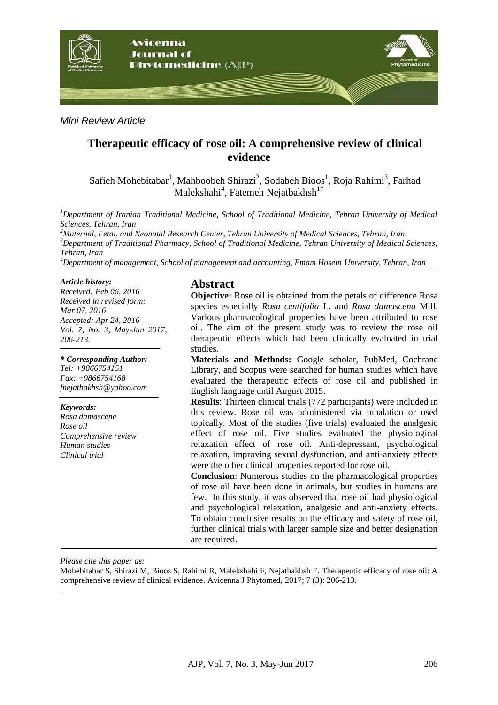

## *Mini Review Article*

## **Therapeutic efficacy of rose oil: A comprehensive review of clinical evidence**

Safieh Mohebitabar<sup>1</sup>, Mahboobeh Shirazi<sup>2</sup>, Sodabeh Bioos<sup>1</sup>, Roja Rahimi<sup>3</sup>, Farhad Malekshahi<sup>4</sup>, Fatemeh Nejatbakhsh<sup>1\*</sup>

*<sup>1</sup>Department of Iranian Traditional Medicine, School of Traditional Medicine, Tehran University of Medical Sciences, Tehran, Iran*

*Maternal, Fetal, and Neonatal Research Center, Tehran University of Medical Sciences, Tehran, Iran Department of Traditional Pharmacy, School of Traditional Medicine, Tehran University of Medical Sciences, Tehran, Iran Department of management, School of management and accounting, Emam Hosein University, Tehran, Iran*

#### *Article history:*

*Received: Feb 06, 2016 Received in revised form: Mar 07, 2016 Accepted: Apr 24, 2016 Vol. 7, No. 3, May-Jun 2017, 206-213.*

*\* Corresponding Author: Tel: +9866754151 Fax: +9866754168 fnejatbakhsh@yahoo.com*

#### *Keywords:*

*Rosa damascene Rose oil Comprehensive review Human studies Clinical trial*

#### **Abstract**

**Objective:** Rose oil is obtained from the petals of difference Rosa species especially *Rosa centifolia* L. and *Rosa damascena* Mill. Various pharmacological properties have been attributed to rose oil. The aim of the present study was to review the rose oil therapeutic effects which had been clinically evaluated in trial studies.

**Materials and Methods:** Google scholar, PubMed, Cochrane Library, and Scopus were searched for human studies which have evaluated the therapeutic effects of rose oil and published in English language until August 2015.

**Results**: Thirteen clinical trials (772 participants) were included in this review. Rose oil was administered via inhalation or used topically. Most of the studies (five trials) evaluated the analgesic effect of rose oil. Five studies evaluated the physiological relaxation effect of rose oil. Anti-depressant, psychological relaxation, improving sexual dysfunction, and anti-anxiety effects were the other clinical properties reported for rose oil.

**Conclusion**: Numerous studies on the pharmacological properties of rose oil have been done in animals, but studies in humans are few. In this study, it was observed that rose oil had physiological and psychological relaxation, analgesic and anti-anxiety effects. To obtain conclusive results on the efficacy and safety of rose oil, further clinical trials with larger sample size and better designation are required.

*Please cite this paper as:* 

Mohebitabar S, Shirazi M, Bioos S, Rahimi R, Malekshahi F, Nejatbakhsh F. Therapeutic efficacy of rose oil: A comprehensive review of clinical evidence. Avicenna J Phytomed, 2017; 7 (3): 206-213.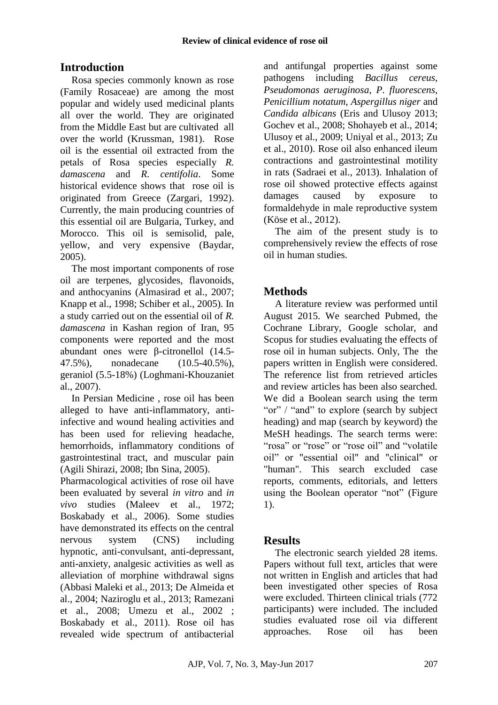# **Introduction**

Rosa species commonly known as rose (Family Rosaceae) are among the most popular and widely used medicinal plants all over the world. They are originated from the Middle East but are cultivated all over the world (Krussman, 1981). Rose oil is the essential oil extracted from the petals of Rosa species especially *R. damascena* and *R. centifolia*. Some historical evidence shows that rose oil is originated from Greece (Zargari, 1992). Currently, the main producing countries of this essential oil are Bulgaria, Turkey, and Morocco. This oil is semisolid, pale, yellow, and very expensive (Baydar, 2005).

The most important components of rose oil are terpenes, glycosides, flavonoids, and anthocyanins (Almasirad et al., 2007; Knapp et al., 1998; Schiber et al., 2005). In a study carried out on the essential oil of *R. damascena* in Kashan region of Iran, 95 components were reported and the most abundant ones were β-citronellol (14.5- 47.5%), nonadecane (10.5-40.5%), geraniol (5.5-18%) (Loghmani-Khouzaniet al., 2007).

In Persian Medicine , rose oil has been alleged to have anti-inflammatory, antiinfective and wound healing activities and has been used for relieving headache, hemorrhoids, inflammatory conditions of gastrointestinal tract, and muscular pain (Agili Shirazi, 2008; Ibn Sina, 2005).

Pharmacological activities of rose oil have been evaluated by several *in vitro* and *in vivo* studies (Maleev et al., 1972; Boskabady et al., 2006). Some studies have demonstrated its effects on the central nervous system (CNS) including hypnotic, anti-convulsant, anti-depressant, anti-anxiety, analgesic activities as well as alleviation of morphine withdrawal signs (Abbasi Maleki et al., 2013; De Almeida et al., 2004; Naziroglu et al., 2013; Ramezani et al., 2008; Umezu et al., 2002 ; Boskabady et al., 2011). Rose oil has revealed wide spectrum of antibacterial and antifungal properties against some pathogens including *Bacillus cereus*, *Pseudomonas aeruginosa*, *P. fluorescens*, *Penicillium notatum*, *Aspergillus niger* and *Candida albicans* (Eris and Ulusoy 2013; Gochev et al., 2008; Shohayeb et al., 2014; Ulusoy et al., 2009; Uniyal et al., 2013; Zu et al., 2010). Rose oil also enhanced ileum contractions and gastrointestinal motility in rats (Sadraei et al., 2013). Inhalation of rose oil showed protective effects against damages caused by exposure to formaldehyde in male reproductive system (Köse et al., 2012).

The aim of the present study is to comprehensively review the effects of rose oil in human studies.

# **Methods**

A literature review was performed until August 2015. We searched Pubmed, the Cochrane Library, Google scholar, and Scopus for studies evaluating the effects of rose oil in human subjects. Only, The the papers written in English were considered. The reference list from retrieved articles and review articles has been also searched. We did a Boolean search using the term "or" / "and" to explore (search by subject heading) and map (search by keyword) the MeSH headings. The search terms were: "rosa" or "rose" or "rose oil" and "volatile oil" or "essential oil" and "clinical" or "human". This search excluded case reports, comments, editorials, and letters using the Boolean operator "not" (Figure 1).

## **Results**

The electronic search yielded 28 items. Papers without full text, articles that were not written in English and articles that had been investigated other species of Rosa were excluded. Thirteen clinical trials (772 participants) were included. The included studies evaluated rose oil via different approaches. Rose oil has been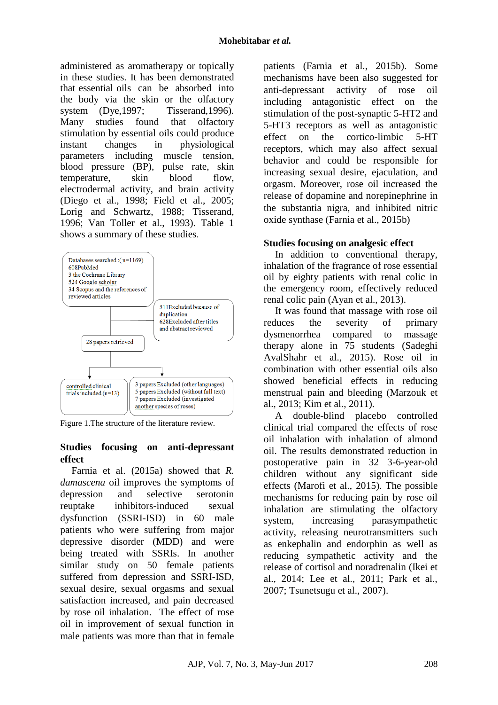administered as aromatherapy or topically in these studies. It has been demonstrated that essential oils can be absorbed into the body via the skin or the olfactory system (Dye, 1997; Tisserand, 1996). Many studies found that olfactory stimulation by essential oils could produce instant changes in physiological parameters including muscle tension, blood pressure (BP), pulse rate, skin temperature, skin blood flow, electrodermal activity, and brain activity (Diego et al., 1998; Field et al., 2005; Lorig and Schwartz, 1988; Tisserand, 1996; Van Toller et al., 1993). Table 1 shows a summary of these studies.



Figure 1.The structure of the literature review.

#### **Studies focusing on anti-depressant effect**

Farnia et al. (2015a) showed that *R. damascena* oil improves the symptoms of depression and selective serotonin reuptake inhibitors-induced sexual dysfunction (SSRI-ISD) in 60 male patients who were suffering from major depressive disorder (MDD) and were being treated with SSRIs. In another similar study on 50 female patients suffered from depression and SSRI-ISD, sexual desire, sexual orgasms and sexual satisfaction increased, and pain decreased by rose oil inhalation. The effect of rose oil in improvement of sexual function in male patients was more than that in female patients (Farnia et al., 2015b). Some mechanisms have been also suggested for anti-depressant activity of rose oil including antagonistic effect on the stimulation of the post-synaptic 5-HT2 and 5-HT3 receptors as well as antagonistic effect on the cortico-limbic 5-HT receptors, which may also affect sexual behavior and could be responsible for increasing sexual desire, ejaculation, and orgasm. Moreover, rose oil increased the release of dopamine and norepinephrine in the substantia nigra, and inhibited nitric oxide synthase (Farnia et al., 2015b)

### **Studies focusing on analgesic effect**

In addition to conventional therapy, inhalation of the fragrance of rose essential oil by eighty patients with renal colic in the emergency room, effectively reduced renal colic pain (Ayan et al., 2013).

It was found that massage with rose oil reduces the severity of primary dysmenorrhea compared to massage therapy alone in 75 students (Sadeghi AvalShahr et al., 2015). Rose oil in combination with other essential oils also showed beneficial effects in reducing menstrual pain and bleeding (Marzouk et al., 2013; Kim et al., 2011).

A double-blind placebo controlled clinical trial compared the effects of rose oil inhalation with inhalation of almond oil. The results demonstrated reduction in postoperative pain in 32 3-6-year-old children without any significant side effects (Marofi et al., 2015). The possible mechanisms for reducing pain by rose oil inhalation are stimulating the olfactory system, increasing parasympathetic activity, releasing neurotransmitters such as enkephalin and endorphin as well as reducing sympathetic activity and the release of cortisol and noradrenalin (Ikei et al., 2014; Lee et al., 2011; Park et al., 2007; Tsunetsugu et al., 2007).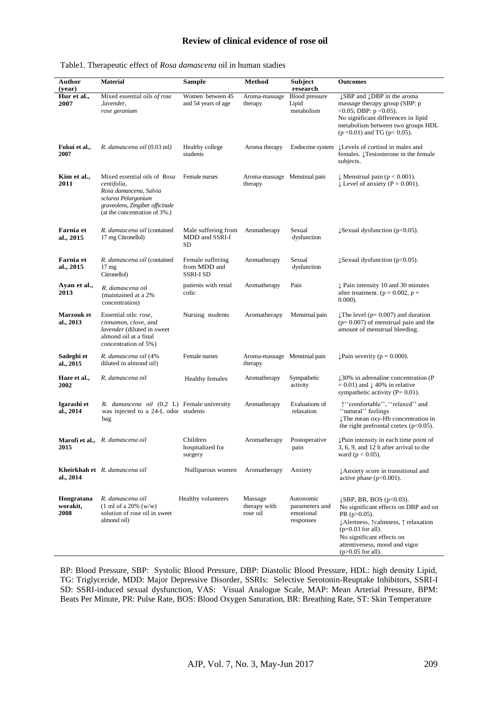#### **Review of clinical evidence of rose oil**

| Author<br>(year)               | <b>Material</b>                                                                                                                                                  | <b>Sample</b>                                 | Method                                  | <b>Subject</b><br>research                            | <b>Outcomes</b>                                                                                                                                                                                                                                      |
|--------------------------------|------------------------------------------------------------------------------------------------------------------------------------------------------------------|-----------------------------------------------|-----------------------------------------|-------------------------------------------------------|------------------------------------------------------------------------------------------------------------------------------------------------------------------------------------------------------------------------------------------------------|
| Hur et al.,<br>2007            | Mixed essential oils of rose<br>,lavender,<br>rose geranium                                                                                                      | Women between 45<br>and 54 years of age       | Aroma-massage<br>therapy                | <b>Blood</b> pressure<br>Lipid<br>metabolism          | ↓SBP and ↓DBP in the aroma<br>massage therapy group (SBP: p<br>$<0.05$ ; DBP: $p < 0.05$ ).<br>No significant differences in lipid<br>metabolism between two groups HDL<br>$(p < 0.01)$ and TG ( $p < 0.05$ ).                                       |
| Fukui et al.,<br>2007          | R. damascena oil (0.03 ml)                                                                                                                                       | Healthy college<br>students                   | Aroma therapy                           | Endocrine system                                      | ↓ Levels of cortisol in males and<br>females. <i>Testosterone</i> in the female<br>subjects.                                                                                                                                                         |
| Kim et al.,<br>2011            | Mixed essential oils of Rosa<br>centifolia,<br>Rosa damascena, Salvia<br>sclarea Pelargonium<br>graveolens, Zingiber officinale<br>(at the concentration of 3%.) | Female nurses                                 | Aroma-massage Menstrual pain<br>therapy |                                                       | $\downarrow$ Menstrual pain (p < 0.001).<br>$\downarrow$ Level of anxiety (P = 0.001).                                                                                                                                                               |
| Farnia et<br>al., 2015         | R. damascena oil (contained<br>17 mg Citronellol)                                                                                                                | Male suffering from<br>MDD and SSRI-I<br>SD   | Aromatherapy                            | Sexual<br>dysfunction                                 | $\downarrow$ Sexual dysfunction (p<0.05).                                                                                                                                                                                                            |
| Farnia et<br>al., 2015         | R. damascena oil (contained<br>17 <sub>mg</sub><br>Citronellol)                                                                                                  | Female suffering<br>from MDD and<br>SSRI-I SD | Aromatherapy                            | Sexual<br>dysfunction                                 | $\downarrow$ Sexual dysfunction (p<0.05).                                                                                                                                                                                                            |
| Ayan et al.,<br>2013           | R. damascena oil<br>(maintained at a 2%)<br>concentration)                                                                                                       | patients with renal<br>colic                  | Aromatherapy                            | Pain                                                  | $\downarrow$ Pain intensity 10 and 30 minutes<br>after treatment. ( $p = 0.002$ , $p =$<br>$0.000$ ).                                                                                                                                                |
| <b>Marzouk</b> et<br>al., 2013 | Essential oils: rose,<br>cinnamon, clove, and<br>lavender (diluted in sweet<br>almond oil at a final<br>concentration of 5%)                                     | Nursing students                              | Aromatherapy                            | Menstrual pain                                        | The level ( $p = 0.007$ ) and duration<br>$(p=0.007)$ of menstrual pain and the<br>amount of menstrual bleeding.                                                                                                                                     |
| Sadeghi et<br>al., 2015        | R. damascena oil (4%<br>diluted in almond oil)                                                                                                                   | Female nurses                                 | Aroma-massage Menstrual pain<br>therapy |                                                       | $\downarrow$ Pain severity (p = 0.000).                                                                                                                                                                                                              |
| Haze et al.,<br>2002           | R. damascena oil                                                                                                                                                 | <b>Healthy females</b>                        | Aromatherapy                            | Sympathetic<br>activity                               | $\downarrow$ 30% in adrenaline concentration (P<br>$= 0.01$ ) and $\downarrow 40\%$ in relative<br>sympathetic activity $(P=0.01)$ .                                                                                                                 |
| Igarashi et<br>al., 2014       | R. damascena oil (0.2 L) Female university<br>was injected to a 24-L odor students<br>bag                                                                        |                                               | Aromatherapy                            | Evaluations of<br>relaxation                          | ↑ "comfortable", "relaxed" and<br>"natural" feelings<br>The mean oxy-Hb concentration in<br>the right prefrontal cortex $(p<0.05)$ .                                                                                                                 |
| 2015                           | <b>Marofi et al.,</b> R. damascena oil                                                                                                                           | Children<br>hospitalized for<br>surgery       | Aromatherapy                            | Postoperative<br>pain                                 | ↓Pain intensity in each time point of<br>3, 6, 9, and 12 h after arrival to the<br>ward ( $p < 0.05$ ).                                                                                                                                              |
| al., 2014                      | Kheirkhah et R. damascena oil                                                                                                                                    | Nulliparous women                             | Aromatherapy                            | Anxiety                                               | ↓ Anxiety score in transitional and<br>active phase $(p<0.001)$ .                                                                                                                                                                                    |
| Hongratana<br>worakit,<br>2008 | R. damascena oil<br>$(1 \text{ ml of a } 20\% \text{ (w/w)}$<br>solution of rose oil in sweet<br>almond oil)                                                     | Healthy volunteers                            | Massage<br>therapy with<br>rose oil     | Autonomic<br>parameters and<br>emotional<br>responses | $\downarrow$ SBP, BR, BOS (p<0.03).<br>No significant effects on DBP and on<br>PR ( $p > 0.05$ ).<br>↓Alertness, ↑calmness, ↑ relaxation<br>$(p=0.03$ for all).<br>No significant effects on<br>attentiveness, mood and vigor<br>$(p>0.05$ for all). |

#### Table1. Therapeutic effect of *Rosa damascena* oil in human stadies

BP: Blood Pressure, SBP: Systolic Blood Pressure, DBP: Diastolic Blood Pressure, HDL: high density Lipid, TG: Triglyceride, MDD: Major Depressive Disorder, SSRIs: Selective Serotonin-Reuptake Inhibitors, SSRI-I SD: SSRI-induced sexual dysfunction, VAS: Visual Analogue Scale, MAP: Mean Arterial Pressure, BPM: Beats Per Minute, PR: Pulse Rate, BOS: Blood Oxygen Saturation, BR: Breathing Rate, ST: Skin Temperature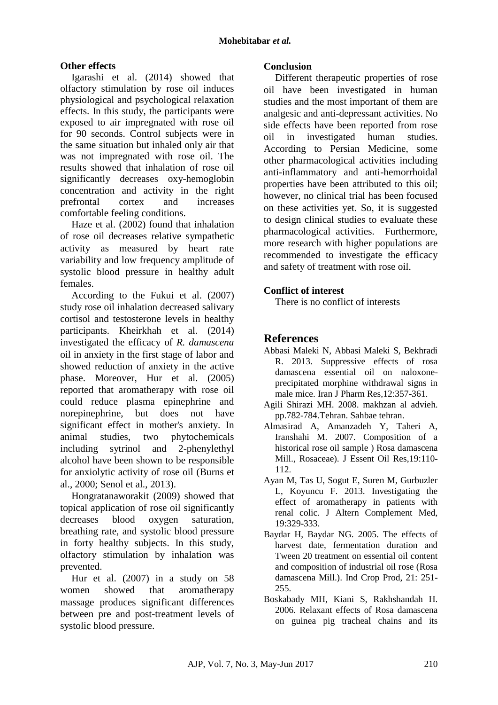## **Other effects**

Igarashi et al. (2014) showed that olfactory stimulation by rose oil induces physiological and psychological relaxation effects. In this study, the participants were exposed to air impregnated with rose oil for 90 seconds. Control subjects were in the same situation but inhaled only air that was not impregnated with rose oil. The results showed that inhalation of rose oil significantly decreases oxy-hemoglobin concentration and activity in the right prefrontal cortex and increases comfortable feeling conditions.

Haze et al. (2002) found that inhalation of rose oil decreases relative sympathetic activity as measured by heart rate variability and low frequency amplitude of systolic blood pressure in healthy adult females.

According to the Fukui et al. (2007) study rose oil inhalation decreased salivary cortisol and testosterone levels in healthy participants. Kheirkhah et al. (2014) investigated the efficacy of *R. damascena* oil in anxiety in the first stage of labor and showed reduction of anxiety in the active phase. Moreover, Hur et al. (2005) reported that aromatherapy with rose oil could reduce plasma epinephrine and norepinephrine, but does not have significant effect in mother's anxiety. In animal studies, two phytochemicals including sytrinol and 2-phenylethyl alcohol have been shown to be responsible for anxiolytic activity of rose oil (Burns et al., 2000; Senol et al., 2013).

Hongratanaworakit (2009) showed that topical application of rose oil significantly decreases blood oxygen saturation, breathing rate, and systolic blood pressure in forty healthy subjects. In this study, olfactory stimulation by inhalation was prevented.

Hur et al. (2007) in a study on 58 women showed that aromatherapy massage produces significant differences between pre and post-treatment levels of systolic blood pressure.

#### **Conclusion**

Different therapeutic properties of rose oil have been investigated in human studies and the most important of them are analgesic and anti-depressant activities. No side effects have been reported from rose oil in investigated human studies. According to Persian Medicine, some other pharmacological activities including anti-inflammatory and anti-hemorrhoidal properties have been attributed to this oil; however, no clinical trial has been focused on these activities yet. So, it is suggested to design clinical studies to evaluate these pharmacological activities. Furthermore, more research with higher populations are recommended to investigate the efficacy and safety of treatment with rose oil.

### **Conflict of interest**

There is no conflict of interests

## **References**

- Abbasi Maleki N, Abbasi Maleki S, Bekhradi R. 2013. Suppressive effects of rosa damascena essential oil on naloxoneprecipitated morphine withdrawal signs in male mice. Iran J Pharm Res,12:357-361.
- Agili Shirazi MH. 2008. makhzan al advieh. pp.782-784.Tehran. Sahbae tehran.
- Almasirad A, Amanzadeh Y, Taheri A, Iranshahi M. 2007. Composition of a historical rose oil sample ) Rosa damascena Mill., Rosaceae). J Essent Oil Res,19:110- 112.
- Ayan M, Tas U, Sogut E, Suren M, Gurbuzler L, Koyuncu F. 2013. Investigating the effect of aromatherapy in patients with renal colic. J Altern Complement Med, 19:329-333.
- Baydar H, Baydar NG. 2005. The effects of harvest date, fermentation duration and Tween 20 treatment on essential oil content and composition of industrial oil rose (Rosa damascena Mill.). Ind Crop Prod, 21: 251- 255.
- Boskabady MH, Kiani S, Rakhshandah H. 2006. Relaxant effects of Rosa damascena on guinea pig tracheal chains and its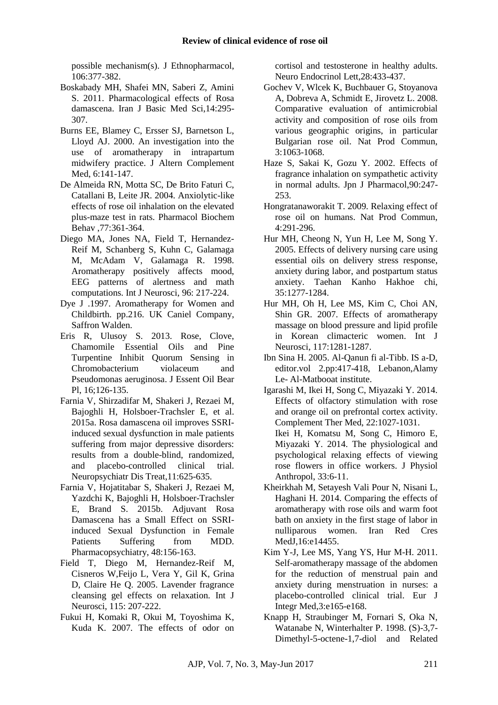possible mechanism(s). J Ethnopharmacol, 106:377-382.

- Boskabady MH, Shafei MN, Saberi Z, Amini S. 2011. Pharmacological effects of Rosa damascena. Iran J Basic Med Sci,14:295- 307.
- Burns EE, Blamey C, Ersser SJ, Barnetson L, Lloyd AJ. 2000. An investigation into the use of aromatherapy in intrapartum midwifery practice. J Altern Complement Med, 6:141-147.
- De Almeida RN, Motta SC, De Brito Faturi C, Catallani B, Leite JR. 2004. Anxiolytic-like effects of rose oil inhalation on the elevated plus-maze test in rats. Pharmacol Biochem Behav ,77:361-364.
- Diego MA, Jones NA, Field T, Hernandez-Reif M, Schanberg S, Kuhn C, Galamaga M, McAdam V, Galamaga R. 1998. Aromatherapy positively affects mood, EEG patterns of alertness and math computations. Int J Neurosci, 96: 217-224.
- Dye J .1997. Aromatherapy for Women and Childbirth. pp.216. UK Caniel Company, Saffron Walden.
- Eris R, Ulusoy S. 2013. Rose, Clove, Chamomile Essential Oils and Pine Turpentine Inhibit Quorum Sensing in Chromobacterium violaceum and Pseudomonas aeruginosa. J Essent Oil Bear Pl, 16;126-135.
- Farnia V, Shirzadifar M, Shakeri J, Rezaei M, Bajoghli H, Holsboer-Trachsler E, et al. 2015a. Rosa damascena oil improves SSRIinduced sexual dysfunction in male patients suffering from major depressive disorders: results from a double-blind, randomized, and placebo-controlled clinical trial. Neuropsychiatr Dis Treat,11:625-635.
- Farnia V, Hojatitabar S, Shakeri J, Rezaei M, Yazdchi K, Bajoghli H, Holsboer-Trachsler E, Brand S. 2015b. Adjuvant Rosa Damascena has a Small Effect on SSRIinduced Sexual Dysfunction in Female Patients Suffering from MDD. Pharmacopsychiatry, 48:156-163.
- Field T, Diego M, Hernandez-Reif M, Cisneros W,Feijo L, Vera Y, [Gil K,](http://www.ncbi.nlm.nih.gov/pubmed/?term=Gil%20K%5BAuthor%5D&cauthor=true&cauthor_uid=15764002) [Grina](http://www.ncbi.nlm.nih.gov/pubmed/?term=Grina%20D%5BAuthor%5D&cauthor=true&cauthor_uid=15764002)  [D,](http://www.ncbi.nlm.nih.gov/pubmed/?term=Grina%20D%5BAuthor%5D&cauthor=true&cauthor_uid=15764002) [Claire He Q.](http://www.ncbi.nlm.nih.gov/pubmed/?term=Claire%20He%20Q%5BAuthor%5D&cauthor=true&cauthor_uid=15764002) 2005. Lavender fragrance cleansing gel effects on relaxation. Int J Neurosci, 115: 207-222.
- Fukui H, Komaki R, Okui M, Toyoshima K, Kuda K. 2007. The effects of odor on

cortisol and testosterone in healthy adults. Neuro Endocrinol Lett,28:433-437.

- Gochev V, Wlcek K, Buchbauer G, Stoyanova A, Dobreva A, Schmidt E, Jirovetz L. 2008. Comparative evaluation of antimicrobial activity and composition of rose oils from various geographic origins, in particular Bulgarian rose oil. Nat Prod Commun, 3:1063-1068.
- Haze S, Sakai K, Gozu Y. 2002. Effects of fragrance inhalation on sympathetic activity in normal adults. Jpn J Pharmacol,90:247- 253.
- Hongratanaworakit T. 2009. Relaxing effect of rose oil on humans. Nat Prod Commun, 4:291-296.
- Hur MH, Cheong N, Yun H, Lee M, Song Y. 2005. Effects of delivery nursing care using essential oils on delivery stress response, anxiety during labor, and postpartum status anxiety. Taehan Kanho Hakhoe chi, 35:1277-1284.
- Hur MH, Oh H, Lee MS, Kim C, Choi AN, Shin GR. 2007. Effects of aromatherapy massage on blood pressure and lipid profile in Korean climacteric women. Int J Neurosci, 117:1281-1287.
- Ibn Sina H. 2005. Al-Qanun fi al-Tibb. IS a-D, editor.vol 2.pp:417-418, Lebanon,Alamy Le- Al-Matbooat institute.
- Igarashi M, Ikei H, Song C, Miyazaki Y. 2014. Effects of olfactory stimulation with rose and orange oil on prefrontal cortex activity. Complement Ther Med, 22:1027-1031. Ikei H, Komatsu M, Song C, Himoro E, Miyazaki Y. 2014. The physiological and psychological relaxing effects of viewing rose flowers in office workers. J Physiol Anthropol, 33:6-11.
- Kheirkhah M, Setayesh Vali Pour N, Nisani L, Haghani H. 2014. Comparing the effects of aromatherapy with rose oils and warm foot bath on anxiety in the first stage of labor in nulliparous women. Iran Red Cres MedJ,16:e14455.
- Kim Y-J, Lee MS, Yang YS, Hur M-H. 2011. Self-aromatherapy massage of the abdomen for the reduction of menstrual pain and anxiety during menstruation in nurses: a placebo-controlled clinical trial. Eur J Integr Med,3:e165-e168.
- Knapp H, Straubinger M, Fornari S, Oka N, Watanabe N, Winterhalter P. 1998. (S)-3,7- Dimethyl-5-octene-1,7-diol and Related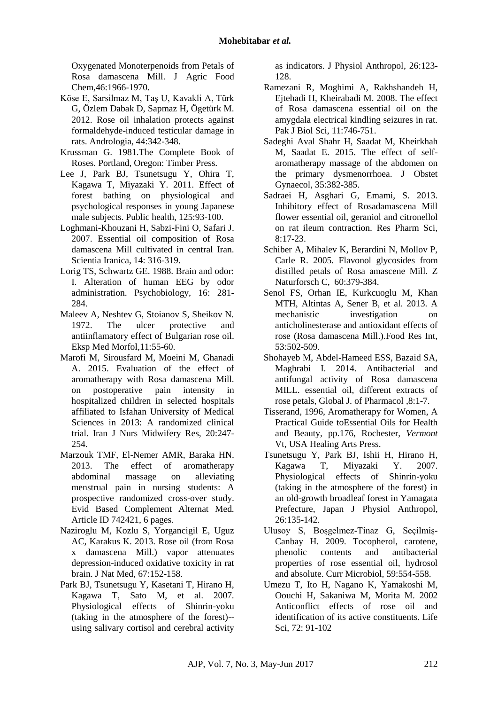Oxygenated Monoterpenoids from Petals of Rosa damascena Mill. J Agric Food Chem,46:1966-1970.

- Köse E, Sarsilmaz M, Taş U, Kavakli A, Türk G, Özlem Dabak D, Sapmaz H, Ögetürk M. 2012. Rose oil inhalation protects against formaldehyde-induced testicular damage in rats. Andrologia, 44:342-348.
- Krussman G. 1981.The Complete Book of Roses. Portland, Oregon: Timber Press.
- Lee J, Park BJ, Tsunetsugu Y, Ohira T, Kagawa T, Miyazaki Y. 2011. Effect of forest bathing on physiological and psychological responses in young Japanese male subjects. Public health, 125:93-100.
- Loghmani-Khouzani H, Sabzi-Fini O, Safari J. 2007. Essential oil composition of Rosa damascena Mill cultivated in central Iran. Scientia Iranica, 14: 316-319.
- Lorig TS, Schwartz GE. 1988. Brain and odor: I. Alteration of human EEG by odor administration. Psychobiology, 16: 281- 284.
- Maleev A, Neshtev G, Stoianov S, Sheikov N. 1972. The ulcer protective and antiinflamatory effect of Bulgarian rose oil. Eksp Med Morfol,11:55-60.
- Marofi M, Sirousfard M, Moeini M, Ghanadi A. 2015. Evaluation of the effect of aromatherapy with Rosa damascena Mill. on postoperative pain intensity in hospitalized children in selected hospitals affiliated to Isfahan University of Medical Sciences in 2013: A randomized clinical trial. Iran J Nurs Midwifery Res, 20:247- 254.
- Marzouk TMF, El-Nemer AMR, Baraka HN. 2013. The effect of aromatherapy abdominal massage on alleviating menstrual pain in nursing students: A prospective randomized cross-over study. Evid Based Complement Alternat Med. Article ID 742421, 6 pages.
- Naziroglu M, Kozlu S, Yorgancigil E, Uguz AC, Karakus K. 2013. Rose oil (from Rosa x damascena Mill.) vapor attenuates depression-induced oxidative toxicity in rat brain. J Nat Med, 67:152-158.
- Park BJ, Tsunetsugu Y, Kasetani T, Hirano H, Kagawa T, Sato M, et al. 2007. Physiological effects of Shinrin-yoku (taking in the atmosphere of the forest)- using salivary cortisol and cerebral activity

as indicators. J Physiol Anthropol, 26:123- 128.

- Ramezani R, Moghimi A, Rakhshandeh H, Ejtehadi H, Kheirabadi M. 2008. The effect of Rosa damascena essential oil on the amygdala electrical kindling seizures in rat. Pak J Biol Sci, 11:746-751.
- Sadeghi Aval Shahr H, Saadat M, Kheirkhah M, Saadat E. 2015. The effect of selfaromatherapy massage of the abdomen on the primary dysmenorrhoea. J Obstet Gynaecol, 35:382-385.
- Sadraei H, Asghari G, Emami, S. 2013. Inhibitory effect of Rosadamascena Mill flower essential oil, geraniol and citronellol on rat ileum contraction. Res Pharm Sci, 8:17-23.
- Schiber A, Mihalev K, Berardini N, Mollov P, Carle R. 2005. Flavonol glycosides from distilled petals of Rosa amascene Mill. Z Naturforsch C, 60:379-384.
- Senol FS, Orhan IE, Kurkcuoglu M, Khan MTH, Altintas A, Sener B, et al. 2013. A mechanistic investigation on anticholinesterase and antioxidant effects of rose (Rosa damascena Mill.).Food Res Int, 53:502-509.
- Shohayeb M, Abdel-Hameed ESS, Bazaid SA, Maghrabi I. 2014. Antibacterial and antifungal activity of Rosa damascena MILL. essential oil, different extracts of rose petals, Global J. of Pharmacol ,8:1-7.
- Tisserand, 1996, Aromatherapy for Women, A Practical Guide toEssential Oils for Health and Beauty, pp.176, Rochester, *Vermont* Vt, USA Healing Arts Press.
- Tsunetsugu Y, Park BJ, Ishii H, Hirano H, Kagawa T, Miyazaki Y. 2007. Physiological effects of Shinrin-yoku (taking in the atmosphere of the forest) in an old-growth broadleaf forest in Yamagata Prefecture, Japan J Physiol Anthropol, 26:135-142.
- Ulusoy S, Boşgelmez-Tinaz G, Seçilmiş-Canbay H. 2009. Tocopherol, carotene, phenolic contents and antibacterial properties of rose essential oil, hydrosol and absolute. Curr Microbiol, 59:554-558.
- Umezu T, Ito H, Nagano K, Yamakoshi M, Oouchi H, Sakaniwa M, Morita M. 2002 Anticonflict effects of rose oil and identification of its active constituents. Life Sci, 72: 91-102